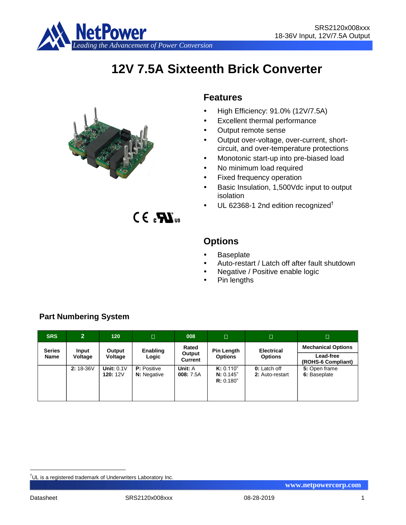

# **12V 7.5A Sixteenth Brick Converter**



 $CE_{\alpha}$  $\mathbf{W}_{\text{us}}$ 

## **Features**

- High Efficiency: 91.0% (12V/7.5A)
- Excellent thermal performance
- Output remote sense
- Output over-voltage, over-current, shortcircuit, and over-temperature protections
- Monotonic start-up into pre-biased load
- No minimum load required
- Fixed frequency operation
- Basic Insulation, 1,500Vdc input to output isolation
- UL 62368-1 2nd edition recognized†

## **Options**

- **Baseplate**
- Auto-restart / Latch off after fault shutdown
- Negative / Positive enable logic
- Pin lengths

| <b>SRS</b>            | $\overline{2}$   | 120                          | $\Box$                                   | 008                               | $\Box$                              | $\Box$                                 | $\Box$                                                       |
|-----------------------|------------------|------------------------------|------------------------------------------|-----------------------------------|-------------------------------------|----------------------------------------|--------------------------------------------------------------|
| <b>Series</b><br>Name | Input<br>Voltage | Output<br>Voltage            | Enabling<br>Logic                        | Rated<br>Output<br><b>Current</b> | Pin Length<br><b>Options</b>        | <b>Electrical</b><br><b>Options</b>    | <b>Mechanical Options</b><br>Lead-free<br>(ROHS-6 Compliant) |
|                       | 2: 18-36V        | <b>Unit: 0.1V</b><br>120:12V | <b>P:</b> Positive<br><b>N:</b> Negative | Unit: A<br>008: 7.5A              | K: 0.110"<br>N: 0.145"<br>R: 0.180" | <b>0:</b> Latch off<br>2: Auto-restart | 5: Open frame<br>6: Baseplate                                |

## **Part Numbering System**

<u>.</u>

<sup>†</sup>UL is a registered trademark of Underwriters Laboratory Inc.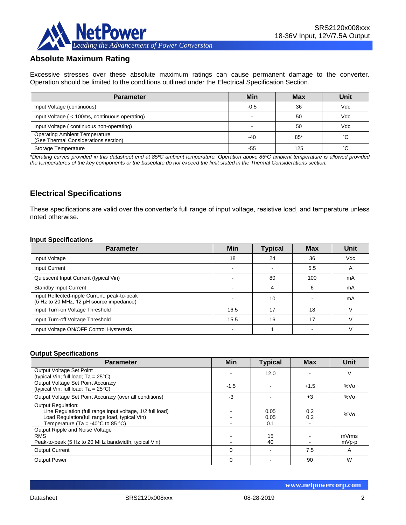

## **Absolute Maximum Rating**

Excessive stresses over these absolute maximum ratings can cause permanent damage to the converter. Operation should be limited to the conditions outlined under the Electrical Specification Section.

| <b>Parameter</b>                                                             | Min    | <b>Max</b> | Unit |
|------------------------------------------------------------------------------|--------|------------|------|
| Input Voltage (continuous)                                                   | $-0.5$ | 36         | Vdc  |
| Input Voltage (< 100ms, continuous operating)                                |        | 50         | Vdc  |
| Input Voltage (continuous non-operating)                                     |        | 50         | Vdc  |
| <b>Operating Ambient Temperature</b><br>(See Thermal Considerations section) | -40    | $85*$      | °С   |
| Storage Temperature                                                          | -55    | 125        | °С   |

*\*Derating curves provided in this datasheet end at 85ºC ambient temperature. Operation above 85ºC ambient temperature is allowed provided the temperatures of the key components or the baseplate do not exceed the limit stated in the Thermal Considerations section.*

## **Electrical Specifications**

These specifications are valid over the converter's full range of input voltage, resistive load, and temperature unless noted otherwise.

#### **Input Specifications**

| <b>Parameter</b>                                                                         | <b>Min</b> | <b>Typical</b> | <b>Max</b> | Unit       |
|------------------------------------------------------------------------------------------|------------|----------------|------------|------------|
| Input Voltage                                                                            | 18         | 24             | 36         | <b>Vdc</b> |
| Input Current                                                                            |            |                | 5.5        | A          |
| Quiescent Input Current (typical Vin)                                                    |            | 80             | 100        | mA         |
| <b>Standby Input Current</b>                                                             |            |                | 6          | mA         |
| Input Reflected-ripple Current, peak-to-peak<br>(5 Hz to 20 MHz, 12 µH source impedance) |            | 10             |            | mA         |
| Input Turn-on Voltage Threshold                                                          | 16.5       | 17             | 18         |            |
| Input Turn-off Voltage Threshold                                                         | 15.5       | 16             | 17         |            |
| Input Voltage ON/OFF Control Hysteresis                                                  |            |                |            |            |

#### **Output Specifications**

| <b>Parameter</b>                                                                                                                                                                                  | Min      | <b>Typical</b>      | <b>Max</b> | <b>Unit</b>    |
|---------------------------------------------------------------------------------------------------------------------------------------------------------------------------------------------------|----------|---------------------|------------|----------------|
| Output Voltage Set Point<br>(typical Vin; full load; $Ta = 25^{\circ}C$ )                                                                                                                         |          | 12.0                |            | V              |
| Output Voltage Set Point Accuracy<br>(typical Vin; full load; $Ta = 25^{\circ}C$ )                                                                                                                | $-1.5$   |                     | $+1.5$     | %Vo            |
| Output Voltage Set Point Accuracy (over all conditions)                                                                                                                                           | -3       |                     | $+3$       | %Vo            |
| <b>Output Regulation:</b><br>Line Regulation (full range input voltage, 1/2 full load)<br>Load Regulation(full range load, typical Vin)<br>Temperature (Ta = -40 $^{\circ}$ C to 85 $^{\circ}$ C) |          | 0.05<br>0.05<br>0.1 | 0.2<br>0.2 | %Vo            |
| Output Ripple and Noise Voltage<br><b>RMS</b><br>Peak-to-peak (5 Hz to 20 MHz bandwidth, typical Vin)                                                                                             |          | 15<br>40            |            | mVrms<br>mVp-p |
| <b>Output Current</b>                                                                                                                                                                             | $\Omega$ |                     | 7.5        | A              |
| <b>Output Power</b>                                                                                                                                                                               | 0        |                     | 90         | W              |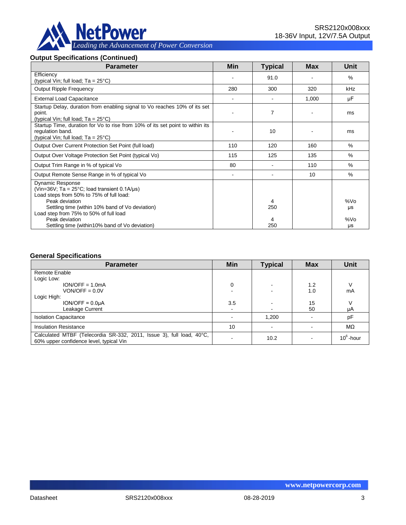

#### **Output Specifications (Continued)**

| <b>Parameter</b>                                                                                                                                                                                                                                                     | <b>Min</b> | <b>Typical</b> | <b>Max</b> | Unit             |
|----------------------------------------------------------------------------------------------------------------------------------------------------------------------------------------------------------------------------------------------------------------------|------------|----------------|------------|------------------|
| Efficiency<br>(typical Vin; full load; $Ta = 25^{\circ}C$ )                                                                                                                                                                                                          |            | 91.0           |            | $\%$             |
| <b>Output Ripple Frequency</b>                                                                                                                                                                                                                                       | 280        | 300            | 320        | kHz              |
| <b>External Load Capacitance</b>                                                                                                                                                                                                                                     |            |                | 1,000      | μF               |
| Startup Delay, duration from enabling signal to Vo reaches 10% of its set<br>point.<br>(typical Vin; full load; $Ta = 25^{\circ}C$ )                                                                                                                                 |            | 7              |            | ms               |
| Startup Time, duration for Vo to rise from 10% of its set point to within its<br>regulation band.<br>(typical Vin; full load; $Ta = 25^{\circ}C$ )                                                                                                                   |            | 10             |            | ms               |
| Output Over Current Protection Set Point (full load)                                                                                                                                                                                                                 | 110        | 120            | 160        | $\%$             |
| Output Over Voltage Protection Set Point (typical Vo)                                                                                                                                                                                                                | 115        | 125            | 135        | $\%$             |
| Output Trim Range in % of typical Vo                                                                                                                                                                                                                                 | 80         |                | 110        | $\%$             |
| Output Remote Sense Range in % of typical Vo                                                                                                                                                                                                                         |            |                | 10         | %                |
| <b>Dynamic Response</b><br>(Vin=36V; Ta = $25^{\circ}$ C; load transient 0.1A/ $\mu$ s)<br>Load steps from 50% to 75% of full load:<br>Peak deviation<br>Settling time (within 10% band of Vo deviation)<br>Load step from 75% to 50% of full load<br>Peak deviation |            | 4<br>250<br>4  |            | %Vo<br>μs<br>%Vo |
| Settling time (within 10% band of Vo deviation)                                                                                                                                                                                                                      |            | 250            |            | μs               |

#### **General Specifications**

| <b>Parameter</b>                                                                                                | Min            | <b>Typical</b> | <b>Max</b> | <b>Unit</b>  |
|-----------------------------------------------------------------------------------------------------------------|----------------|----------------|------------|--------------|
| Remote Enable                                                                                                   |                |                |            |              |
| Logic Low:                                                                                                      |                |                |            |              |
| $ION/OFF = 1.0mA$                                                                                               | 0              |                | 1.2        | ν            |
| $VON/OFF = 0.0V$                                                                                                |                |                | 1.0        | mA           |
| Logic High:                                                                                                     |                |                |            |              |
| $ION/OFF = 0.0µA$                                                                                               | 3.5            |                | 15         | ν            |
| Leakage Current                                                                                                 | $\blacksquare$ |                | 50         | μA           |
| <b>Isolation Capacitance</b>                                                                                    |                | 1,200          |            | рF           |
| <b>Insulation Resistance</b>                                                                                    | 10             |                |            | MΩ           |
| Calculated MTBF (Telecordia SR-332, 2011, Issue 3), full load, 40°C,<br>60% upper confidence level, typical Vin |                | 10.2           |            | $10^6$ -hour |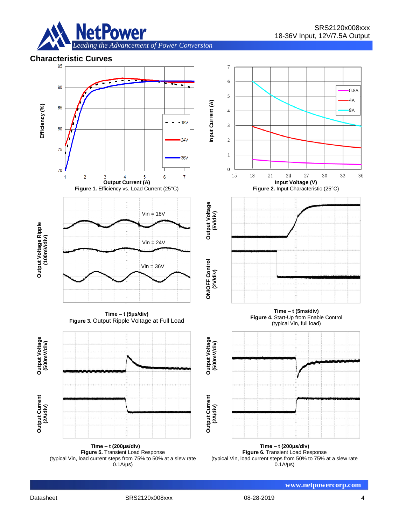

# **Characteristic Curves**



**Figure 5.** Transient Load Response (typical Vin, load current steps from 75% to 50% at a slew rate  $0.1A/\mu s$ 

**Figure 6.** Transient Load Response (typical Vin, load current steps from 50% to 75% at a slew rate  $0.1A/\mu s$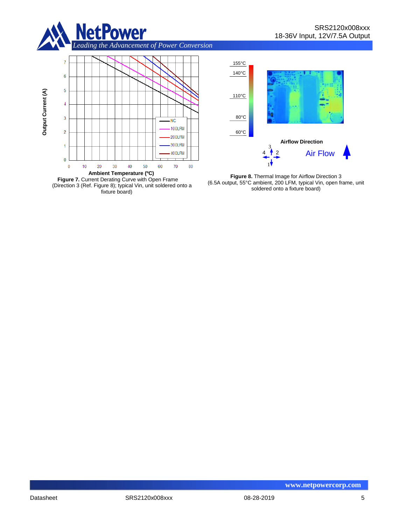

*Leading the Advancement of Power Conversion* 







**Figure 8.** Thermal Image for Airflow Direction 3 (6.5A output, 55°C ambient, 200 LFM, typical Vin, open frame, unit soldered onto a fixture board)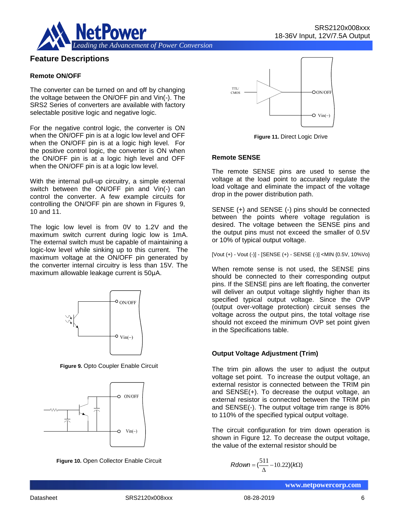

## **Feature Descriptions**

#### **Remote ON/OFF**

The converter can be turned on and off by changing the voltage between the ON/OFF pin and Vin(-). The SRS2 Series of converters are available with factory selectable positive logic and negative logic.

For the negative control logic, the converter is ON when the ON/OFF pin is at a logic low level and OFF when the ON/OFF pin is at a logic high level. For the positive control logic, the converter is ON when the ON/OFF pin is at a logic high level and OFF when the ON/OFF pin is at a logic low level.

With the internal pull-up circuitry, a simple external switch between the ON/OFF pin and Vin(-) can control the converter. A few example circuits for controlling the ON/OFF pin are shown in Figures 9, 10 and 11.

The logic low level is from 0V to 1.2V and the maximum switch current during logic low is 1mA. The external switch must be capable of maintaining a logic-low level while sinking up to this current. The maximum voltage at the ON/OFF pin generated by the converter internal circuitry is less than 15V. The maximum allowable leakage current is 50μA.



**Figure 9.** Opto Coupler Enable Circuit







**Figure 11.** Direct Logic Drive

#### **Remote SENSE**

The remote SENSE pins are used to sense the voltage at the load point to accurately regulate the load voltage and eliminate the impact of the voltage drop in the power distribution path.

SENSE (+) and SENSE (-) pins should be connected between the points where voltage regulation is desired. The voltage between the SENSE pins and the output pins must not exceed the smaller of 0.5V or 10% of typical output voltage.

[Vout (+) - Vout (-)] - [SENSE (+) - SENSE (-)] <MIN {0.5V, 10%Vo}

When remote sense is not used, the SENSE pins should be connected to their corresponding output pins. If the SENSE pins are left floating, the converter will deliver an output voltage slightly higher than its specified typical output voltage. Since the OVP (output over-voltage protection) circuit senses the voltage across the output pins, the total voltage rise should not exceed the minimum OVP set point given in the Specifications table.

#### **Output Voltage Adjustment (Trim)**

The trim pin allows the user to adjust the output voltage set point. To increase the output voltage, an external resistor is connected between the TRIM pin and SENSE(+). To decrease the output voltage, an external resistor is connected between the TRIM pin and SENSE(-). The output voltage trim range is 80% to 110% of the specified typical output voltage. ON/OFF<br>
(output over-voltage across the<br>
should not exceed<br>  $\frac{\text{v}}{\text{in}(-)}$ <br>  $\frac{\text{Output Over-voltage} \times \text{v} = \text{0}}{\text{I}}$ <br>  $\frac{\text{Output Over-voltage} \times \text{v} = \text{0}}{\text{I}}$ <br>  $\frac{\text{Output Volume} \times \text{v} = \text{0}}{\text{I}}$ <br>  $\frac{\text{Output Volume} \times \text{v} = \text{0}}{\text{I}}$ <br>  $\frac{\text{Output Volume} \times \text{v} = \text$ 

The circuit configuration for trim down operation is shown in Figure 12. To decrease the output voltage, the value of the external resistor should be

$$
Rdown = (\frac{511}{\Delta} - 10.22)(k\Omega)
$$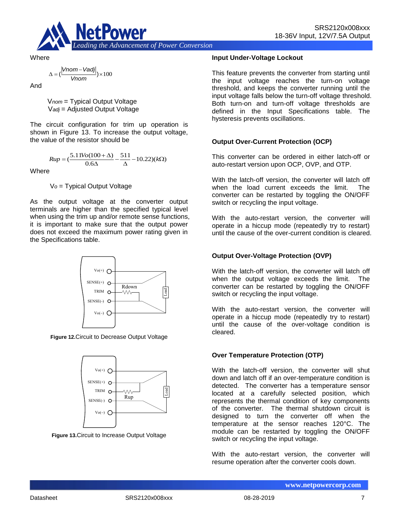

**Where** 

$$
\Delta = (\frac{|Vnom - Vadj|}{Vnom}) \times 100
$$

And

V*nom* = Typical Output Voltage V*adj* = Adjusted Output Voltage

The circuit configuration for trim up operation is shown in Figure 13. To increase the output voltage, the value of the resistor should be

$$
Rup = \left(\frac{5.11 V o (100 + \Delta)}{0.6 \Delta} - \frac{511}{\Delta} - 10.22\right) (k\Omega)
$$

**Where** 

V*o* = Typical Output Voltage

As the output voltage at the converter output terminals are higher than the specified typical level when using the trim up and/or remote sense functions, it is important to make sure that the output power does not exceed the maximum power rating given in the Specifications table.



**Figure 12.**Circuit to Decrease Output Voltage



**Figure 13.**Circuit to Increase Output Voltage

#### **Input Under-Voltage Lockout**

This feature prevents the converter from starting until the input voltage reaches the turn-on voltage threshold, and keeps the converter running until the input voltage falls below the turn-off voltage threshold. Both turn-on and turn-off voltage thresholds are defined in the Input Specifications table. The hysteresis prevents oscillations.

#### **Output Over-Current Protection (OCP)**

This converter can be ordered in either latch-off or auto-restart version upon OCP, OVP, and OTP.

With the latch-off version, the converter will latch off when the load current exceeds the limit. The converter can be restarted by toggling the ON/OFF switch or recycling the input voltage.

With the auto-restart version, the converter will operate in a hiccup mode (repeatedly try to restart) until the cause of the over-current condition is cleared.

#### **Output Over-Voltage Protection (OVP)**

With the latch-off version, the converter will latch off when the output voltage exceeds the limit. The converter can be restarted by toggling the ON/OFF switch or recycling the input voltage.

With the auto-restart version, the converter will operate in a hiccup mode (repeatedly try to restart) until the cause of the over-voltage condition is cleared.

#### **Over Temperature Protection (OTP)**

With the latch-off version, the converter will shut down and latch off if an over-temperature condition is detected. The converter has a temperature sensor located at a carefully selected position, which represents the thermal condition of key components of the converter. The thermal shutdown circuit is designed to turn the converter off when the temperature at the sensor reaches 120°C. The module can be restarted by toggling the ON/OFF switch or recycling the input voltage.

With the auto-restart version, the converter will resume operation after the converter cools down.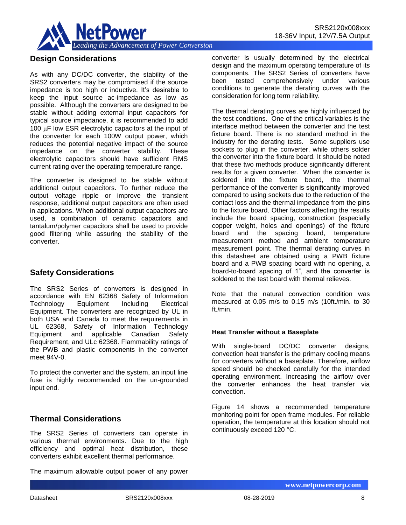

## **Design Considerations**

As with any DC/DC converter, the stability of the SRS2 converters may be compromised if the source impedance is too high or inductive. It's desirable to keep the input source ac-impedance as low as possible. Although the converters are designed to be stable without adding external input capacitors for typical source impedance, it is recommended to add 100  $\mu$ F low ESR electrolytic capacitors at the input of the converter for each 100W output power, which reduces the potential negative impact of the source impedance on the converter stability. These electrolytic capacitors should have sufficient RMS current rating over the operating temperature range.

The converter is designed to be stable without additional output capacitors. To further reduce the output voltage ripple or improve the transient response, additional output capacitors are often used in applications. When additional output capacitors are used, a combination of ceramic capacitors and tantalum/polymer capacitors shall be used to provide good filtering while assuring the stability of the converter.

## **Safety Considerations**

The SRS2 Series of converters is designed in accordance with EN 62368 Safety of Information Technology Equipment Including Electrical Equipment. The converters are recognized by UL in both USA and Canada to meet the requirements in UL 62368, Safety of Information Technology Equipment and applicable Canadian Safety Requirement, and ULc 62368. Flammability ratings of the PWB and plastic components in the converter meet 94V-0.

To protect the converter and the system, an input line fuse is highly recommended on the un-grounded input end.

## **Thermal Considerations**

The SRS2 Series of converters can operate in various thermal environments. Due to the high efficiency and optimal heat distribution, these converters exhibit excellent thermal performance.

The maximum allowable output power of any power

converter is usually determined by the electrical design and the maximum operating temperature of its components. The SRS2 Series of converters have been tested comprehensively under various conditions to generate the derating curves with the consideration for long term reliability.

The thermal derating curves are highly influenced by the test conditions. One of the critical variables is the interface method between the converter and the test fixture board. There is no standard method in the industry for the derating tests. Some suppliers use sockets to plug in the converter, while others solder the converter into the fixture board. It should be noted that these two methods produce significantly different results for a given converter. When the converter is soldered into the fixture board, the thermal performance of the converter is significantly improved compared to using sockets due to the reduction of the contact loss and the thermal impedance from the pins to the fixture board. Other factors affecting the results include the board spacing, construction (especially copper weight, holes and openings) of the fixture board and the spacing board, temperature measurement method and ambient temperature measurement point. The thermal derating curves in this datasheet are obtained using a PWB fixture board and a PWB spacing board with no opening, a board-to-board spacing of 1", and the converter is soldered to the test board with thermal relieves.

Note that the natural convection condition was measured at 0.05 m/s to 0.15 m/s (10ft./min. to 30 ft./min.

#### **Heat Transfer without a Baseplate**

With single-board DC/DC converter designs, convection heat transfer is the primary cooling means for converters without a baseplate. Therefore, airflow speed should be checked carefully for the intended operating environment. Increasing the airflow over the converter enhances the heat transfer via convection.

Figure 14 shows a recommended temperature monitoring point for open frame modules. For reliable operation, the temperature at this location should not continuously exceed 120 °C.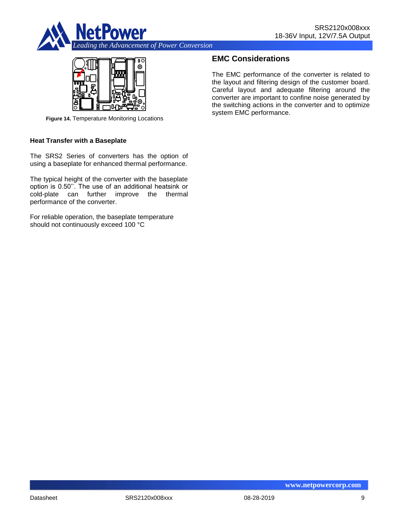



**Figure 14.** Temperature Monitoring Locations

#### **Heat Transfer with a Baseplate**

The SRS2 Series of converters has the option of using a baseplate for enhanced thermal performance.

The typical height of the converter with the baseplate option is 0.50''. The use of an additional heatsink or cold-plate can further improve the thermal performance of the converter.

For reliable operation, the baseplate temperature should not continuously exceed 100 °C

## **EMC Considerations**

The EMC performance of the converter is related to the layout and filtering design of the customer board. Careful layout and adequate filtering around the converter are important to confine noise generated by the switching actions in the converter and to optimize system EMC performance.